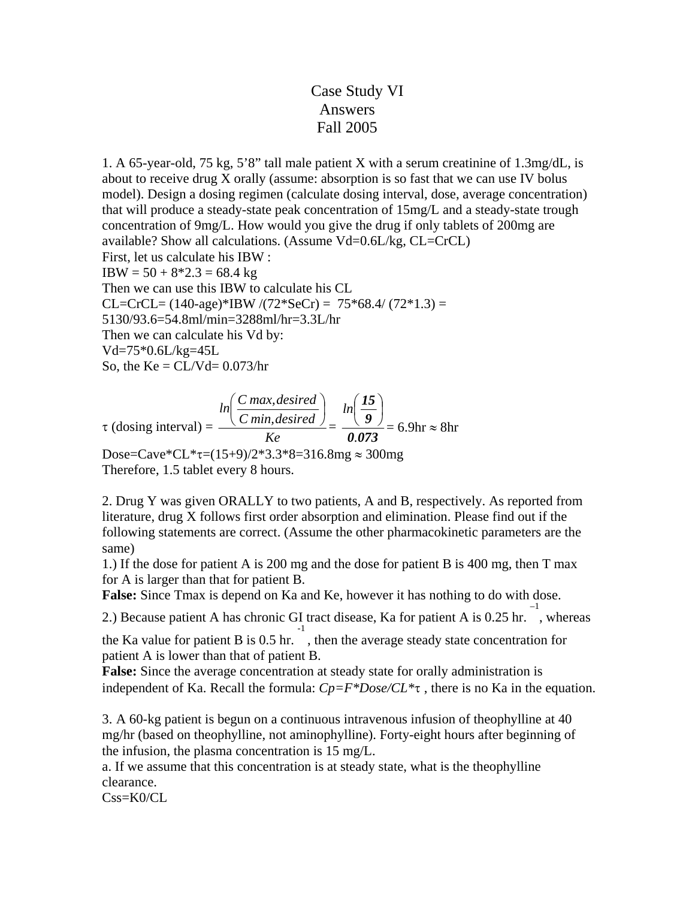## Case Study VI Answers Fall 2005

1. A 65-year-old, 75 kg, 5'8" tall male patient X with a serum creatinine of 1.3mg/dL, is about to receive drug X orally (assume: absorption is so fast that we can use IV bolus model). Design a dosing regimen (calculate dosing interval, dose, average concentration) that will produce a steady-state peak concentration of 15mg/L and a steady-state trough concentration of 9mg/L. How would you give the drug if only tablets of 200mg are available? Show all calculations. (Assume Vd=0.6L/kg, CL=CrCL) First, let us calculate his IBW :  $IBW = 50 + 8*2.3 = 68.4 \text{ kg}$ Then we can use this IBW to calculate his CL CL=CrCL=  $(140\text{-age})$ \*IBW  $/(72\text{*SeCr}) = 75\text{*68.4}/ (72\text{*1.3}) =$ 5130/93.6=54.8ml/min=3288ml/hr=3.3L/hr Then we can calculate his Vd by: Vd=75\*0.6L/kg=45L So, the  $Ke = CL/Vd = 0.073/hr$ 

$$
\tau \text{ (dosing interval)} = \frac{\ln \left( \frac{C \, max, desired}{C \, min, desired} \right)}{Ke} = \frac{\ln \left( \frac{15}{9} \right)}{0.073} = 6.9 \text{hr} \approx 8 \text{hr}
$$

Dose=Cave\*CL\* $\tau$ =(15+9)/2\*3.3\*8=316.8mg  $\approx$  300mg Therefore, 1.5 tablet every 8 hours.

2. Drug Y was given ORALLY to two patients, A and B, respectively. As reported from literature, drug X follows first order absorption and elimination. Please find out if the following statements are correct. (Assume the other pharmacokinetic parameters are the same)

1.) If the dose for patient A is 200 mg and the dose for patient B is 400 mg, then T max for A is larger than that for patient B.

**False:** Since Tmax is depend on Ka and Ke, however it has nothing to do with dose.

2.) Because patient A has chronic GI tract disease, Ka for patient A is 0.25 hr. –1 , whereas

the Ka value for patient B is 0.5 hr. -1 , then the average steady state concentration for patient A is lower than that of patient B.

**False:** Since the average concentration at steady state for orally administration is independent of Ka. Recall the formula: *Cp=F\*Dose/CL\**τ , there is no Ka in the equation.

3. A 60-kg patient is begun on a continuous intravenous infusion of theophylline at 40 mg/hr (based on theophylline, not aminophylline). Forty-eight hours after beginning of the infusion, the plasma concentration is 15 mg/L.

a. If we assume that this concentration is at steady state, what is the theophylline clearance.

 $Css=KO/CL$